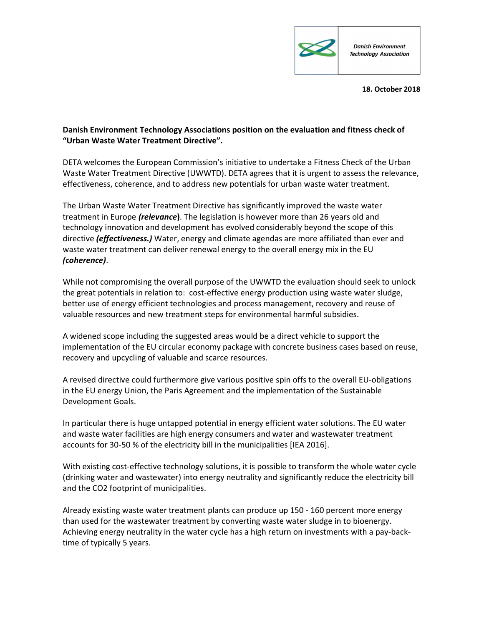

18. October 2018

## Danish Environment Technology Associations position on the evaluation and fitness check of "Urban Waste Water Treatment Directive".

DETA welcomes the European Commission's initiative to undertake a Fitness Check of the Urban Waste Water Treatment Directive (UWWTD). DETA agrees that it is urgent to assess the relevance, effectiveness, coherence, and to address new potentials for urban waste water treatment.

The Urban Waste Water Treatment Directive has significantly improved the waste water treatment in Europe (relevance). The legislation is however more than 26 years old and technology innovation and development has evolved considerably beyond the scope of this directive (effectiveness.) Water, energy and climate agendas are more affiliated than ever and waste water treatment can deliver renewal energy to the overall energy mix in the EU (coherence).

While not compromising the overall purpose of the UWWTD the evaluation should seek to unlock the great potentials in relation to: cost-effective energy production using waste water sludge, better use of energy efficient technologies and process management, recovery and reuse of valuable resources and new treatment steps for environmental harmful subsidies.

A widened scope including the suggested areas would be a direct vehicle to support the implementation of the EU circular economy package with concrete business cases based on reuse, recovery and upcycling of valuable and scarce resources.

A revised directive could furthermore give various positive spin offs to the overall EU-obligations in the EU energy Union, the Paris Agreement and the implementation of the Sustainable Development Goals.

In particular there is huge untapped potential in energy efficient water solutions. The EU water and waste water facilities are high energy consumers and water and wastewater treatment accounts for 30-50 % of the electricity bill in the municipalities [IEA 2016].

With existing cost-effective technology solutions, it is possible to transform the whole water cycle (drinking water and wastewater) into energy neutrality and significantly reduce the electricity bill and the CO2 footprint of municipalities.

Already existing waste water treatment plants can produce up 150 - 160 percent more energy than used for the wastewater treatment by converting waste water sludge in to bioenergy. Achieving energy neutrality in the water cycle has a high return on investments with a pay-backtime of typically 5 years.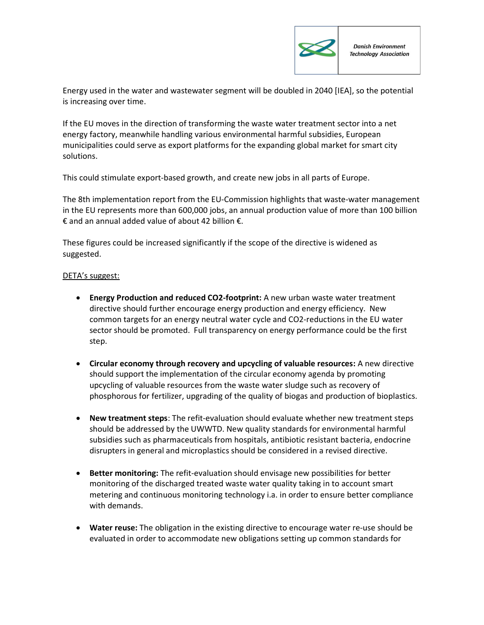

Energy used in the water and wastewater segment will be doubled in 2040 [IEA], so the potential is increasing over time.

If the EU moves in the direction of transforming the waste water treatment sector into a net energy factory, meanwhile handling various environmental harmful subsidies, European municipalities could serve as export platforms for the expanding global market for smart city solutions.

This could stimulate export-based growth, and create new jobs in all parts of Europe.

The 8th implementation report from the EU-Commission highlights that waste-water management in the EU represents more than 600,000 jobs, an annual production value of more than 100 billion € and an annual added value of about 42 billion €.

These figures could be increased significantly if the scope of the directive is widened as suggested.

## DETA's suggest:

- Energy Production and reduced CO2-footprint: A new urban waste water treatment directive should further encourage energy production and energy efficiency. New common targets for an energy neutral water cycle and CO2-reductions in the EU water sector should be promoted. Full transparency on energy performance could be the first step.
- Circular economy through recovery and upcycling of valuable resources: A new directive should support the implementation of the circular economy agenda by promoting upcycling of valuable resources from the waste water sludge such as recovery of phosphorous for fertilizer, upgrading of the quality of biogas and production of bioplastics.
- New treatment steps: The refit-evaluation should evaluate whether new treatment steps should be addressed by the UWWTD. New quality standards for environmental harmful subsidies such as pharmaceuticals from hospitals, antibiotic resistant bacteria, endocrine disrupters in general and microplastics should be considered in a revised directive.
- Better monitoring: The refit-evaluation should envisage new possibilities for better monitoring of the discharged treated waste water quality taking in to account smart metering and continuous monitoring technology i.a. in order to ensure better compliance with demands.
- Water reuse: The obligation in the existing directive to encourage water re-use should be evaluated in order to accommodate new obligations setting up common standards for